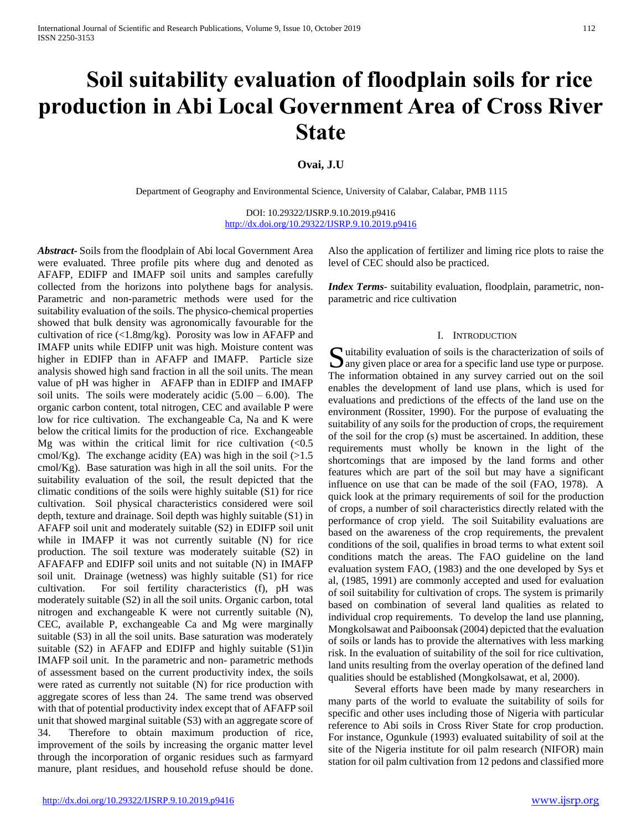# **Soil suitability evaluation of floodplain soils for rice production in Abi Local Government Area of Cross River State**

## **Ovai, J.U**

Department of Geography and Environmental Science, University of Calabar, Calabar, PMB 1115

DOI: 10.29322/IJSRP.9.10.2019.p9416 <http://dx.doi.org/10.29322/IJSRP.9.10.2019.p9416>

*Abstract***-** Soils from the floodplain of Abi local Government Area were evaluated. Three profile pits where dug and denoted as AFAFP, EDIFP and IMAFP soil units and samples carefully collected from the horizons into polythene bags for analysis. Parametric and non-parametric methods were used for the suitability evaluation of the soils. The physico-chemical properties showed that bulk density was agronomically favourable for the cultivation of rice (<1.8mg/kg). Porosity was low in AFAFP and IMAFP units while EDIFP unit was high. Moisture content was higher in EDIFP than in AFAFP and IMAFP. Particle size analysis showed high sand fraction in all the soil units. The mean value of pH was higher in AFAFP than in EDIFP and IMAFP soil units. The soils were moderately acidic  $(5.00 - 6.00)$ . The organic carbon content, total nitrogen, CEC and available P were low for rice cultivation. The exchangeable Ca, Na and K were below the critical limits for the production of rice. Exchangeable Mg was within the critical limit for rice cultivation  $(< 0.5$ cmol/Kg). The exchange acidity (EA) was high in the soil  $(>1.5$ cmol/Kg). Base saturation was high in all the soil units. For the suitability evaluation of the soil, the result depicted that the climatic conditions of the soils were highly suitable (S1) for rice cultivation. Soil physical characteristics considered were soil depth, texture and drainage. Soil depth was highly suitable (S1) in AFAFP soil unit and moderately suitable (S2) in EDIFP soil unit while in IMAFP it was not currently suitable (N) for rice production. The soil texture was moderately suitable (S2) in AFAFAFP and EDIFP soil units and not suitable (N) in IMAFP soil unit. Drainage (wetness) was highly suitable (S1) for rice cultivation. For soil fertility characteristics (f), pH was moderately suitable (S2) in all the soil units. Organic carbon, total nitrogen and exchangeable K were not currently suitable (N), CEC, available P, exchangeable Ca and Mg were marginally suitable (S3) in all the soil units. Base saturation was moderately suitable (S2) in AFAFP and EDIFP and highly suitable (S1)in IMAFP soil unit. In the parametric and non- parametric methods of assessment based on the current productivity index, the soils were rated as currently not suitable (N) for rice production with aggregate scores of less than 24. The same trend was observed with that of potential productivity index except that of AFAFP soil unit that showed marginal suitable (S3) with an aggregate score of 34. Therefore to obtain maximum production of rice, improvement of the soils by increasing the organic matter level through the incorporation of organic residues such as farmyard manure, plant residues, and household refuse should be done.

Also the application of fertilizer and liming rice plots to raise the level of CEC should also be practiced.

*Index Terms*- suitability evaluation, floodplain, parametric, nonparametric and rice cultivation

#### I. INTRODUCTION

**S** uitability evaluation of soils is the characterization of soils of any given place or area for a specific land use type or purpose.  $\Box$  any given place or area for a specific land use type or purpose. The information obtained in any survey carried out on the soil enables the development of land use plans, which is used for evaluations and predictions of the effects of the land use on the environment (Rossiter, 1990). For the purpose of evaluating the suitability of any soils for the production of crops, the requirement of the soil for the crop (s) must be ascertained. In addition, these requirements must wholly be known in the light of the shortcomings that are imposed by the land forms and other features which are part of the soil but may have a significant influence on use that can be made of the soil (FAO, 1978). A quick look at the primary requirements of soil for the production of crops, a number of soil characteristics directly related with the performance of crop yield. The soil Suitability evaluations are based on the awareness of the crop requirements, the prevalent conditions of the soil, qualifies in broad terms to what extent soil conditions match the areas. The FAO guideline on the land evaluation system FAO, (1983) and the one developed by Sys et al, (1985, 1991) are commonly accepted and used for evaluation of soil suitability for cultivation of crops. The system is primarily based on combination of several land qualities as related to individual crop requirements. To develop the land use planning, Mongkolsawat and Paiboonsak (2004) depicted that the evaluation of soils or lands has to provide the alternatives with less marking risk. In the evaluation of suitability of the soil for rice cultivation, land units resulting from the overlay operation of the defined land qualities should be established (Mongkolsawat, et al, 2000).

 Several efforts have been made by many researchers in many parts of the world to evaluate the suitability of soils for specific and other uses including those of Nigeria with particular reference to Abi soils in Cross River State for crop production. For instance, Ogunkule (1993) evaluated suitability of soil at the site of the Nigeria institute for oil palm research (NIFOR) main station for oil palm cultivation from 12 pedons and classified more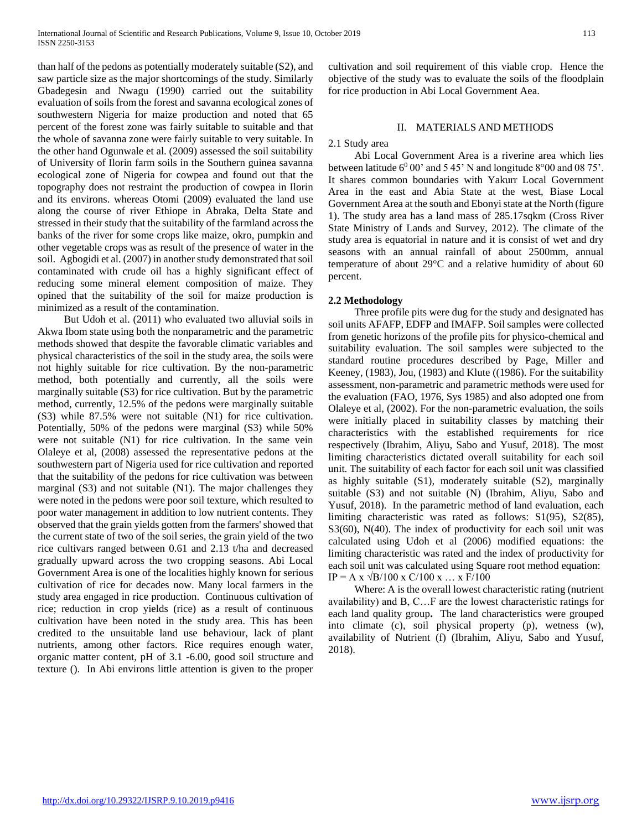than half of the pedons as potentially moderately suitable (S2), and saw particle size as the major shortcomings of the study. Similarly Gbadegesin and Nwagu (1990) carried out the suitability evaluation of soils from the forest and savanna ecological zones of southwestern Nigeria for maize production and noted that 65 percent of the forest zone was fairly suitable to suitable and that the whole of savanna zone were fairly suitable to very suitable. In the other hand Ogunwale et al. (2009) assessed the soil suitability of University of Ilorin farm soils in the Southern guinea savanna ecological zone of Nigeria for cowpea and found out that the topography does not restraint the production of cowpea in Ilorin and its environs. whereas Otomi (2009) evaluated the land use along the course of river Ethiope in Abraka, Delta State and stressed in their study that the suitability of the farmland across the banks of the river for some crops like maize, okro, pumpkin and other vegetable crops was as result of the presence of water in the soil. Agbogidi et al. (2007) in another study demonstrated that soil contaminated with crude oil has a highly significant effect of reducing some mineral element composition of maize. They opined that the suitability of the soil for maize production is minimized as a result of the contamination.

 But Udoh et al. (2011) who evaluated two alluvial soils in Akwa Ibom state using both the nonparametric and the parametric methods showed that despite the favorable climatic variables and physical characteristics of the soil in the study area, the soils were not highly suitable for rice cultivation. By the non-parametric method, both potentially and currently, all the soils were marginally suitable (S3) for rice cultivation. But by the parametric method, currently, 12.5% of the pedons were marginally suitable (S3) while 87.5% were not suitable (N1) for rice cultivation. Potentially, 50% of the pedons were marginal (S3) while 50% were not suitable (N1) for rice cultivation. In the same vein Olaleye et al, (2008) assessed the representative pedons at the southwestern part of Nigeria used for rice cultivation and reported that the suitability of the pedons for rice cultivation was between marginal (S3) and not suitable (N1). The major challenges they were noted in the pedons were poor soil texture, which resulted to poor water management in addition to low nutrient contents. They observed that the grain yields gotten from the farmers' showed that the current state of two of the soil series, the grain yield of the two rice cultivars ranged between 0.61 and 2.13 t/ha and decreased gradually upward across the two cropping seasons. Abi Local Government Area is one of the localities highly known for serious cultivation of rice for decades now. Many local farmers in the study area engaged in rice production. Continuous cultivation of rice; reduction in crop yields (rice) as a result of continuous cultivation have been noted in the study area. This has been credited to the unsuitable land use behaviour, lack of plant nutrients, among other factors. Rice requires enough water, organic matter content, pH of 3.1 -6.00, good soil structure and texture (). In Abi environs little attention is given to the proper cultivation and soil requirement of this viable crop. Hence the objective of the study was to evaluate the soils of the floodplain for rice production in Abi Local Government Aea.

## II. MATERIALS AND METHODS

#### 2.1 Study area

 Abi Local Government Area is a riverine area which lies between latitude  $6^0 00'$  and  $5 45'$  N and longitude  $8^{\circ}00$  and  $08 75'$ . It shares common boundaries with Yakurr Local Government Area in the east and Abia State at the west, Biase Local Government Area at the south and Ebonyi state at the North (figure 1). The study area has a land mass of 285.17sqkm (Cross River State Ministry of Lands and Survey, 2012). The climate of the study area is equatorial in nature and it is consist of wet and dry seasons with an annual rainfall of about 2500mm, annual temperature of about 29°C and a relative humidity of about 60 percent.

#### **2.2 Methodology**

 Three profile pits were dug for the study and designated has soil units AFAFP, EDFP and IMAFP. Soil samples were collected from genetic horizons of the profile pits for physico-chemical and suitability evaluation. The soil samples were subjected to the standard routine procedures described by Page, Miller and Keeney, (1983), Jou, (1983) and Klute ((1986). For the suitability assessment, non-parametric and parametric methods were used for the evaluation (FAO, 1976, Sys 1985) and also adopted one from Olaleye et al, (2002). For the non-parametric evaluation, the soils were initially placed in suitability classes by matching their characteristics with the established requirements for rice respectively (Ibrahim, Aliyu, Sabo and Yusuf, 2018). The most limiting characteristics dictated overall suitability for each soil unit. The suitability of each factor for each soil unit was classified as highly suitable (S1), moderately suitable (S2), marginally suitable (S3) and not suitable (N) (Ibrahim, Aliyu, Sabo and Yusuf, 2018). In the parametric method of land evaluation, each limiting characteristic was rated as follows: S1(95), S2(85), S3(60), N(40). The index of productivity for each soil unit was calculated using Udoh et al (2006) modified equations: the limiting characteristic was rated and the index of productivity for each soil unit was calculated using Square root method equation:  $IP = A x \sqrt{B/100} x C/100 x ... x F/100$ 

 Where: A is the overall lowest characteristic rating (nutrient availability) and B, C…F are the lowest characteristic ratings for each land quality group**.** The land characteristics were grouped into climate (c), soil physical property (p), wetness (w), availability of Nutrient (f) (Ibrahim, Aliyu, Sabo and Yusuf, 2018).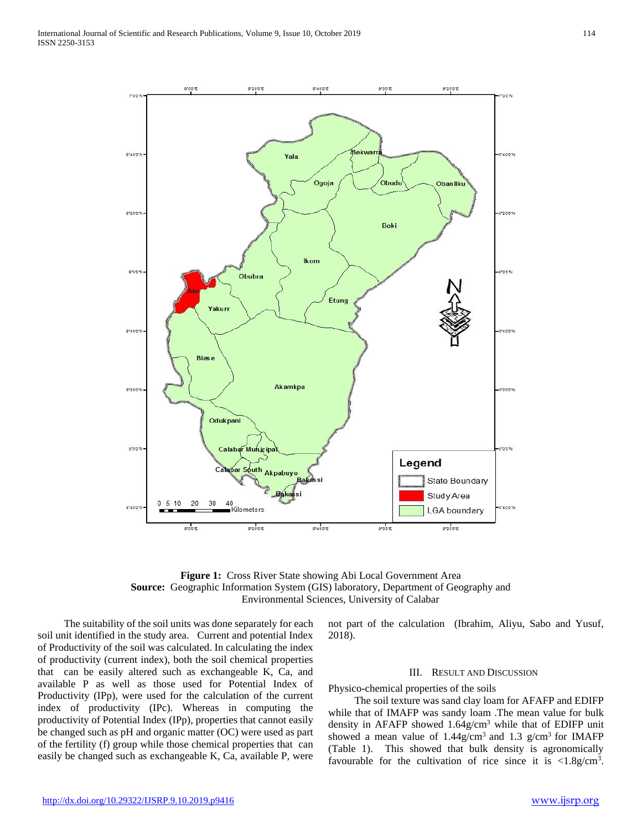

**Figure 1:** Cross River State showing Abi Local Government Area **Source:** Geographic Information System (GIS) laboratory, Department of Geography and Environmental Sciences, University of Calabar

 The suitability of the soil units was done separately for each soil unit identified in the study area. Current and potential Index of Productivity of the soil was calculated. In calculating the index of productivity (current index), both the soil chemical properties that can be easily altered such as exchangeable K, Ca, and available P as well as those used for Potential Index of Productivity (IPp), were used for the calculation of the current index of productivity (IPc). Whereas in computing the productivity of Potential Index (IPp), properties that cannot easily be changed such as pH and organic matter (OC) were used as part of the fertility (f) group while those chemical properties that can easily be changed such as exchangeable K, Ca, available P, were not part of the calculation (Ibrahim, Aliyu, Sabo and Yusuf, 2018).

## III. RESULT AND DISCUSSION

Physico-chemical properties of the soils

 The soil texture was sand clay loam for AFAFP and EDIFP while that of IMAFP was sandy loam .The mean value for bulk density in AFAFP showed 1.64g/cm<sup>3</sup> while that of EDIFP unit showed a mean value of  $1.44$ g/cm<sup>3</sup> and  $1.3$  g/cm<sup>3</sup> for IMAFP (Table 1). This showed that bulk density is agronomically favourable for the cultivation of rice since it is  $\langle 1.8g/cm^3$ .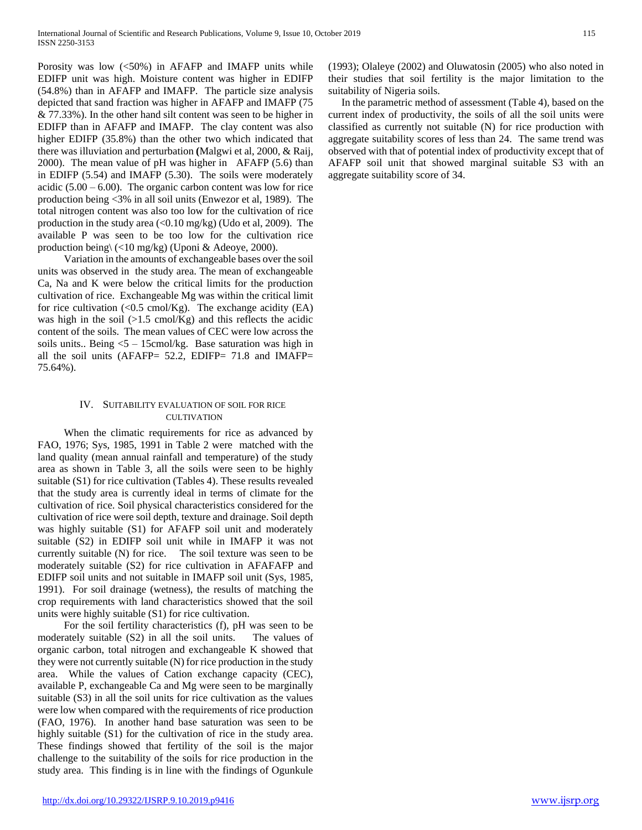Porosity was low (<50%) in AFAFP and IMAFP units while EDIFP unit was high. Moisture content was higher in EDIFP (54.8%) than in AFAFP and IMAFP. The particle size analysis depicted that sand fraction was higher in AFAFP and IMAFP (75 & 77.33%). In the other hand silt content was seen to be higher in EDIFP than in AFAFP and IMAFP. The clay content was also higher EDIFP (35.8%) than the other two which indicated that there was illuviation and perturbation **(**Malgwi et al, 2000, & Raij, 2000). The mean value of pH was higher in AFAFP (5.6) than in EDIFP (5.54) and IMAFP (5.30). The soils were moderately acidic  $(5.00 - 6.00)$ . The organic carbon content was low for rice production being <3% in all soil units (Enwezor et al, 1989). The total nitrogen content was also too low for the cultivation of rice production in the study area  $\left($ <0.10 mg/kg) (Udo et al, 2009). The available P was seen to be too low for the cultivation rice production being\ (<10 mg/kg) (Uponi & Adeoye, 2000).

 Variation in the amounts of exchangeable bases over the soil units was observed in the study area. The mean of exchangeable Ca, Na and K were below the critical limits for the production cultivation of rice. Exchangeable Mg was within the critical limit for rice cultivation  $\langle 0.5 \text{ cm} \text{ol/Kg} \rangle$ . The exchange acidity  $\langle EA \rangle$ was high in the soil  $(>1.5 \text{ cmol/Kg})$  and this reflects the acidic content of the soils. The mean values of CEC were low across the soils units.. Being  $5 - 15$ cmol/kg. Base saturation was high in all the soil units (AFAFP= 52.2, EDIFP= 71.8 and IMAFP= 75.64%).

## IV. SUITABILITY EVALUATION OF SOIL FOR RICE **CULTIVATION**

 When the climatic requirements for rice as advanced by FAO, 1976; Sys, 1985, 1991 in Table 2 were matched with the land quality (mean annual rainfall and temperature) of the study area as shown in Table 3, all the soils were seen to be highly suitable (S1) for rice cultivation (Tables 4). These results revealed that the study area is currently ideal in terms of climate for the cultivation of rice. Soil physical characteristics considered for the cultivation of rice were soil depth, texture and drainage. Soil depth was highly suitable (S1) for AFAFP soil unit and moderately suitable (S2) in EDIFP soil unit while in IMAFP it was not currently suitable (N) for rice. The soil texture was seen to be moderately suitable (S2) for rice cultivation in AFAFAFP and EDIFP soil units and not suitable in IMAFP soil unit (Sys, 1985, 1991). For soil drainage (wetness), the results of matching the crop requirements with land characteristics showed that the soil units were highly suitable (S1) for rice cultivation.

 For the soil fertility characteristics (f), pH was seen to be moderately suitable (S2) in all the soil units. The values of organic carbon, total nitrogen and exchangeable K showed that they were not currently suitable (N) for rice production in the study area. While the values of Cation exchange capacity (CEC), available P, exchangeable Ca and Mg were seen to be marginally suitable (S3) in all the soil units for rice cultivation as the values were low when compared with the requirements of rice production (FAO, 1976). In another hand base saturation was seen to be highly suitable (S1) for the cultivation of rice in the study area. These findings showed that fertility of the soil is the major challenge to the suitability of the soils for rice production in the study area. This finding is in line with the findings of Ogunkule (1993); Olaleye (2002) and Oluwatosin (2005) who also noted in their studies that soil fertility is the major limitation to the suitability of Nigeria soils.

 In the parametric method of assessment (Table 4), based on the current index of productivity, the soils of all the soil units were classified as currently not suitable (N) for rice production with aggregate suitability scores of less than 24. The same trend was observed with that of potential index of productivity except that of AFAFP soil unit that showed marginal suitable S3 with an aggregate suitability score of 34.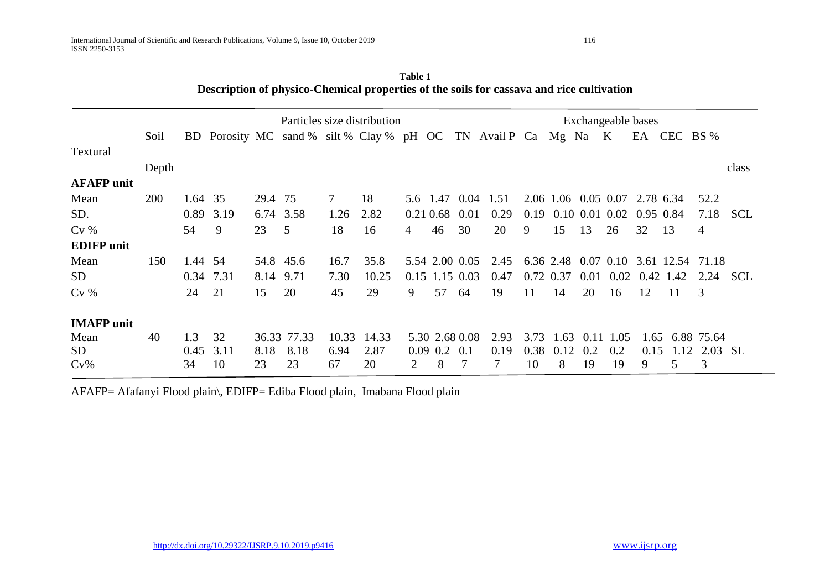|                   | Particles size distribution |         |                                                                 |         |             |                 | Exchangeable bases |   |                   |     |      |      |           |                    |      |                               |           |                                      |            |
|-------------------|-----------------------------|---------|-----------------------------------------------------------------|---------|-------------|-----------------|--------------------|---|-------------------|-----|------|------|-----------|--------------------|------|-------------------------------|-----------|--------------------------------------|------------|
|                   | Soil                        |         | BD Porosity MC sand % silt % Clay % pH OC TN Avail P Ca Mg Na K |         |             |                 |                    |   |                   |     |      |      |           |                    |      |                               |           | EA CEC BS %                          |            |
| Textural          |                             |         |                                                                 |         |             |                 |                    |   |                   |     |      |      |           |                    |      |                               |           |                                      |            |
|                   | Depth                       |         |                                                                 |         |             |                 |                    |   |                   |     |      |      |           |                    |      |                               |           |                                      | class      |
| <b>AFAFP</b> unit |                             |         |                                                                 |         |             |                 |                    |   |                   |     |      |      |           |                    |      |                               |           |                                      |            |
| Mean              | <b>200</b>                  | 1.64 35 |                                                                 | 29.4 75 |             | $7\phantom{.0}$ | 18                 |   | 5.6 1.47 0.04     |     | 1.51 |      |           |                    |      | 2.06 1.06 0.05 0.07 2.78 6.34 |           | 52.2                                 |            |
| SD.               |                             | 0.89    | 3.19                                                            |         | 6.74 3.58   | 1.26            | 2.82               |   | $0.21\,0.68$ 0.01 |     | 0.29 | 0.19 |           | $0.10\ 0.01\ 0.02$ |      | 0.95 0.84                     |           | 7.18                                 | <b>SCL</b> |
| $Cv\%$            |                             | 54      | 9                                                               | 23      | 5           | 18              | 16                 | 4 | 46                | 30  | 20   | 9    | 15        | 13                 | 26   | 32                            | 13        | $\overline{4}$                       |            |
| <b>EDIFP</b> unit |                             |         |                                                                 |         |             |                 |                    |   |                   |     |      |      |           |                    |      |                               |           |                                      |            |
| Mean              | 150                         | 1.44    | - 54                                                            |         | 54.8 45.6   | 16.7            | 35.8               |   | 5.54 2.00 0.05    |     | 2.45 |      |           |                    |      |                               |           | 6.36 2.48 0.07 0.10 3.61 12.54 71.18 |            |
| SD <sub>1</sub>   |                             |         | 0.34 7.31                                                       | 8.14    | 9.71        | 7.30            | 10.25              |   | $0.15$ 1.15 0.03  |     | 0.47 |      | 0.72 0.37 | 0.01               | 0.02 |                               | 0.42 1.42 | 2.24                                 | <b>SCL</b> |
| $Cv\%$            |                             | 24      | 21                                                              | 15      | 20          | 45              | 29                 | 9 | 57                | 64  | 19   | 11   | 14        | 20                 | 16   | 12                            | 11        | 3                                    |            |
| <b>IMAFP</b> unit |                             |         |                                                                 |         |             |                 |                    |   |                   |     |      |      |           |                    |      |                               |           |                                      |            |
| Mean              | 40                          | 1.3     | 32                                                              |         | 36.33 77.33 | 10.33           | 14.33              |   | 5.30 2.68 0.08    |     | 2.93 | 3.73 | 1.63      | 0.11               | 1.05 | 1.65                          |           | 6.88 75.64                           |            |
| SD                |                             | 0.45    | 3.11                                                            | 8.18    | 8.18        | 6.94            | 2.87               |   | $0.09$ 0.2        | 0.1 | 0.19 | 0.38 | 0.12      | 0.2                | 0.2  | 0.15                          | 1.12      | 2.03                                 | -SL        |
| $Cv\%$            |                             | 34      | 10                                                              | 23      | 23          | 67              | 20                 | 2 | 8                 |     | 7    | 10   | 8         | 19                 | 19   | 9                             | 5         | 3                                    |            |

**Table 1 Description of physico-Chemical properties of the soils for cassava and rice cultivation**

AFAFP= Afafanyi Flood plain\, EDIFP= Ediba Flood plain, Imabana Flood plain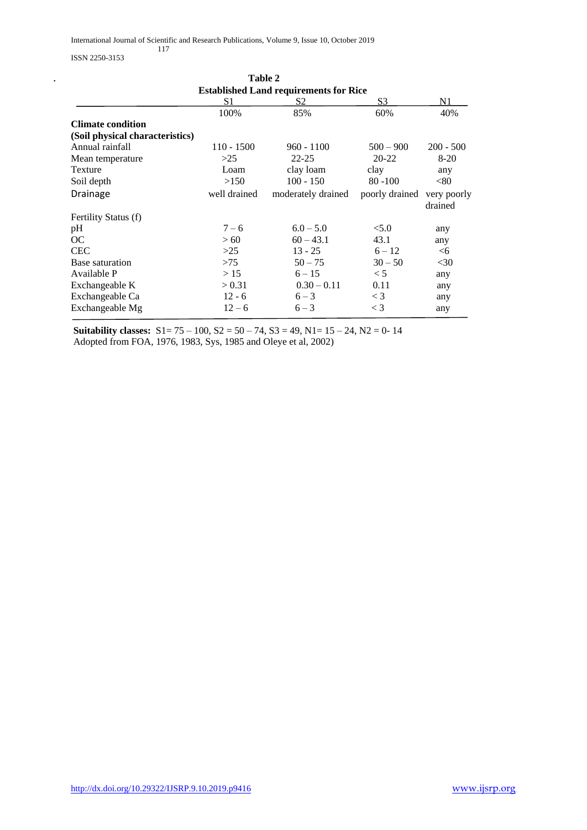ISSN 2250-3153

|                                               |              | Table 2            |                |             |  |  |  |
|-----------------------------------------------|--------------|--------------------|----------------|-------------|--|--|--|
| <b>Established Land requirements for Rice</b> |              |                    |                |             |  |  |  |
|                                               | S1           | S2                 | S <sub>3</sub> | N1          |  |  |  |
|                                               | 100%         | 85%                | 60%            | 40%         |  |  |  |
| <b>Climate condition</b>                      |              |                    |                |             |  |  |  |
| (Soil physical characteristics)               |              |                    |                |             |  |  |  |
| Annual rainfall                               | $110 - 1500$ | $960 - 1100$       | $500 - 900$    | $200 - 500$ |  |  |  |
| Mean temperature                              | >25          | $22 - 25$          | $20 - 22$      | $8-20$      |  |  |  |
| Texture                                       | Loam         | clay loam          | clay           | any         |  |  |  |
| Soil depth                                    | >150         | $100 - 150$        | $80 - 100$     | < 80        |  |  |  |
| Drainage                                      | well drained | moderately drained | poorly drained | very poorly |  |  |  |
|                                               |              |                    |                | drained     |  |  |  |
| Fertility Status (f)                          |              |                    |                |             |  |  |  |
| pH                                            | $7 - 6$      | $6.0 - 5.0$        | < 5.0          | any         |  |  |  |
| OC.                                           | >60          | $60 - 43.1$        | 43.1           | any         |  |  |  |
| <b>CEC</b>                                    | >25          | $13 - 25$          | $6 - 12$       | <6          |  |  |  |
| Base saturation                               | >75          | $50 - 75$          | $30 - 50$      | $<$ 30      |  |  |  |
| Available P                                   | >15          | $6 - 15$           | $\lt$ 5        | any         |  |  |  |
| Exchangeable K                                | > 0.31       | $0.30 - 0.11$      | 0.11           | any         |  |  |  |
| Exchangeable Ca                               | $12 - 6$     | $6 - 3$            | $\lt$ 3        | any         |  |  |  |
| Exchangeable Mg                               | $12 - 6$     | $6 - 3$            | $\lt$ 3        | any         |  |  |  |

**Suitability classes:** S1= 75 – 100, S2 = 50 – 74, S3 = 49, N1= 15 – 24, N2 = 0- 14 Adopted from FOA, 1976, 1983, Sys, 1985 and Oleye et al, 2002)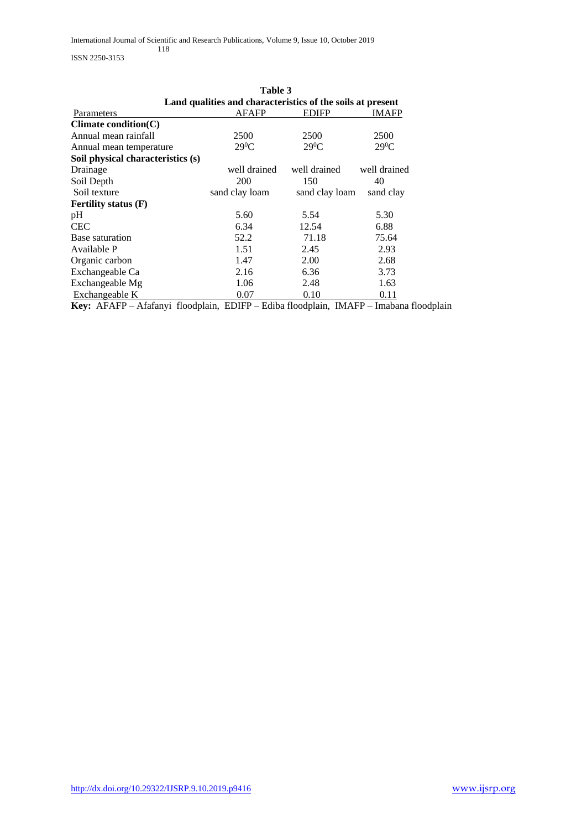ISSN 2250-3153

|                                   | Table 3                                                    |                |              |  |  |  |  |  |  |  |
|-----------------------------------|------------------------------------------------------------|----------------|--------------|--|--|--|--|--|--|--|
|                                   | Land qualities and characteristics of the soils at present |                |              |  |  |  |  |  |  |  |
| Parameters                        | <b>AFAFP</b>                                               | <b>EDIFP</b>   | IMAFP        |  |  |  |  |  |  |  |
| Climate condition(C)              |                                                            |                |              |  |  |  |  |  |  |  |
| Annual mean rainfall              | 2500                                                       | 2500           | 2500         |  |  |  |  |  |  |  |
| Annual mean temperature           | $29^0C$                                                    | $29^0C$        | $29^0C$      |  |  |  |  |  |  |  |
| Soil physical characteristics (s) |                                                            |                |              |  |  |  |  |  |  |  |
| Drainage                          | well drained                                               | well drained   | well drained |  |  |  |  |  |  |  |
| Soil Depth                        | 200                                                        | 150            | 40           |  |  |  |  |  |  |  |
| Soil texture                      | sand clay loam                                             | sand clay loam | sand clay    |  |  |  |  |  |  |  |
| <b>Fertility status (F)</b>       |                                                            |                |              |  |  |  |  |  |  |  |
| pH                                | 5.60                                                       | 5.54           | 5.30         |  |  |  |  |  |  |  |
| <b>CEC</b>                        | 6.34                                                       | 12.54          | 6.88         |  |  |  |  |  |  |  |
| Base saturation                   | 52.2                                                       | 71.18          | 75.64        |  |  |  |  |  |  |  |
| Available P                       | 1.51                                                       | 2.45           | 2.93         |  |  |  |  |  |  |  |
| Organic carbon                    | 1.47                                                       | 2.00           | 2.68         |  |  |  |  |  |  |  |
| Exchangeable Ca                   | 2.16                                                       | 6.36           | 3.73         |  |  |  |  |  |  |  |
| Exchangeable Mg                   | 1.06                                                       | 2.48           | 1.63         |  |  |  |  |  |  |  |
| Exchangeable K                    | 0.07                                                       | 0.10           | 0.11         |  |  |  |  |  |  |  |

**Key:** AFAFP – Afafanyi floodplain, EDIFP – Ediba floodplain, IMAFP – Imabana floodplain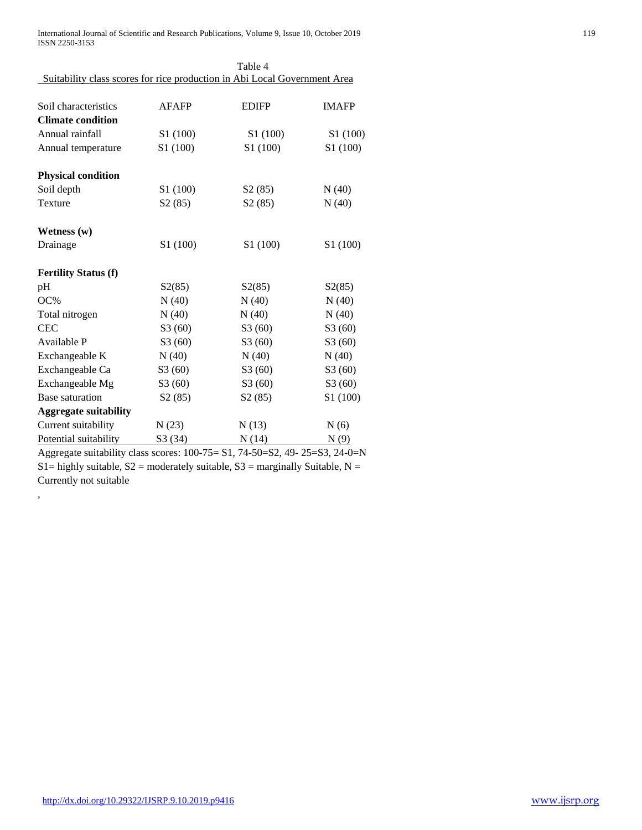International Journal of Scientific and Research Publications, Volume 9, Issue 10, October 2019 119 ISSN 2250-3153

|                                                                             |                      | Table 4              |              |
|-----------------------------------------------------------------------------|----------------------|----------------------|--------------|
| Suitability class scores for rice production in Abi Local Government Area   |                      |                      |              |
| Soil characteristics                                                        | <b>AFAFP</b>         | <b>EDIFP</b>         | <b>IMAFP</b> |
| <b>Climate condition</b>                                                    |                      |                      |              |
| Annual rainfall                                                             | S1 (100)             | S1 (100)             | S1 (100)     |
| Annual temperature                                                          | S1 (100)             | S <sub>1</sub> (100) | S1 (100)     |
| <b>Physical condition</b>                                                   |                      |                      |              |
| Soil depth                                                                  | S <sub>1</sub> (100) | S2(85)               | N(40)        |
| Texture                                                                     | S2(85)               | S2(85)               | N(40)        |
| Wetness $(w)$                                                               |                      |                      |              |
| Drainage                                                                    | S1 (100)             | S1 (100)             | S1 (100)     |
| <b>Fertility Status (f)</b>                                                 |                      |                      |              |
| pH                                                                          | S2(85)               | S2(85)               | S2(85)       |
| OC%                                                                         | N(40)                | N(40)                | N(40)        |
| Total nitrogen                                                              | N(40)                | N(40)                | N(40)        |
| <b>CEC</b>                                                                  | S3(60)               | S3(60)               | S3(60)       |
| Available P                                                                 | S3(60)               | S3(60)               | S3(60)       |
| Exchangeable K                                                              | N(40)                | N(40)                | N(40)        |
| Exchangeable Ca                                                             | S3(60)               | S3(60)               | S3(60)       |
| Exchangeable Mg                                                             | S3(60)               | S3(60)               | S3(60)       |
| Base saturation                                                             | S2(85)               | S2(85)               | S1 (100)     |
| <b>Aggregate suitability</b>                                                |                      |                      |              |
| Current suitability                                                         | N(23)                | N(13)                | N(6)         |
| Potential suitability                                                       | S3(34)               | N(14)                | N(9)         |
| Aggregate suitability class scores: 100-75= S1, 74-50=S2, 49- 25=S3, 24-0=N |                      |                      |              |

S1= highly suitable,  $S2$  = moderately suitable,  $S3$  = marginally Suitable, N =

Currently not suitable

,